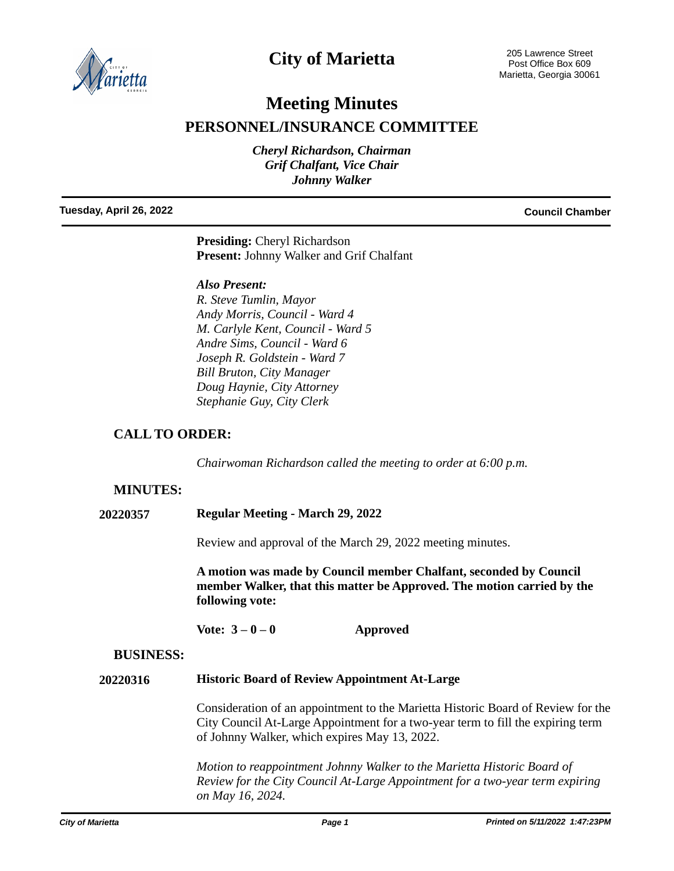

# **City of Marietta**

# **Meeting Minutes**

# **PERSONNEL/INSURANCE COMMITTEE**

*Cheryl Richardson, Chairman Grif Chalfant, Vice Chair Johnny Walker*

**Tuesday, April 26, 2022 Council Chamber**

**Presiding:** Cheryl Richardson **Present:** Johnny Walker and Grif Chalfant

### *Also Present:*

*R. Steve Tumlin, Mayor Andy Morris, Council - Ward 4 M. Carlyle Kent, Council - Ward 5 Andre Sims, Council - Ward 6 Joseph R. Goldstein - Ward 7 Bill Bruton, City Manager Doug Haynie, City Attorney Stephanie Guy, City Clerk*

# **CALL TO ORDER:**

*Chairwoman Richardson called the meeting to order at 6:00 p.m.*

## **MINUTES:**

**20220357 Regular Meeting - March 29, 2022**

Review and approval of the March 29, 2022 meeting minutes.

**A motion was made by Council member Chalfant, seconded by Council member Walker, that this matter be Approved. The motion carried by the following vote:**

Vote:  $3-0-0$  **Approved** 

### **BUSINESS:**

### **20220316 Historic Board of Review Appointment At-Large**

Consideration of an appointment to the Marietta Historic Board of Review for the City Council At-Large Appointment for a two-year term to fill the expiring term of Johnny Walker, which expires May 13, 2022.

*Motion to reappointment Johnny Walker to the Marietta Historic Board of Review for the City Council At-Large Appointment for a two-year term expiring on May 16, 2024.*